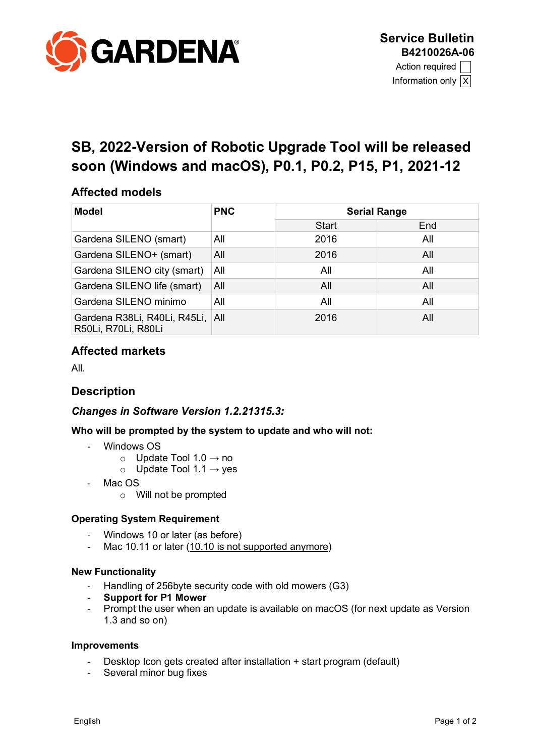

# **SB, 2022-Version of Robotic Upgrade Tool will be released soon (Windows and macOS), P0.1, P0.2, P15, P1, 2021-12**

## **Affected models**

| <b>Model</b>                                            | <b>PNC</b> | <b>Serial Range</b> |     |
|---------------------------------------------------------|------------|---------------------|-----|
|                                                         |            | Start               | End |
| Gardena SILENO (smart)                                  | All        | 2016                | All |
| Gardena SILENO+ (smart)                                 | All        | 2016                | All |
| Gardena SILENO city (smart)                             | All        | All                 | All |
| Gardena SILENO life (smart)                             | All        | All                 | All |
| Gardena SILENO minimo                                   | All        | All                 | All |
| Gardena R38Li, R40Li, R45Li, All<br>R50Li, R70Li, R80Li |            | 2016                | All |

## **Affected markets**

All.

## **Description**

#### *Changes in Software Version 1.2.21315.3:*

#### **Who will be prompted by the system to update and who will not:**

- Windows OS
	- $\circ$  Update Tool 1.0  $\rightarrow$  no
	- $\circ$  Update Tool 1.1  $\rightarrow$  yes
- Mac OS
	- o Will not be prompted

#### **Operating System Requirement**

- Windows 10 or later (as before)
- Mac 10.11 or later (10.10 is not supported anymore)

#### **New Functionality**

- Handling of 256byte security code with old mowers (G3)
- **Support for P1 Mower**
- Prompt the user when an update is available on macOS (for next update as Version 1.3 and so on)

#### **Improvements**

- Desktop Icon gets created after installation + start program (default)
- Several minor bug fixes